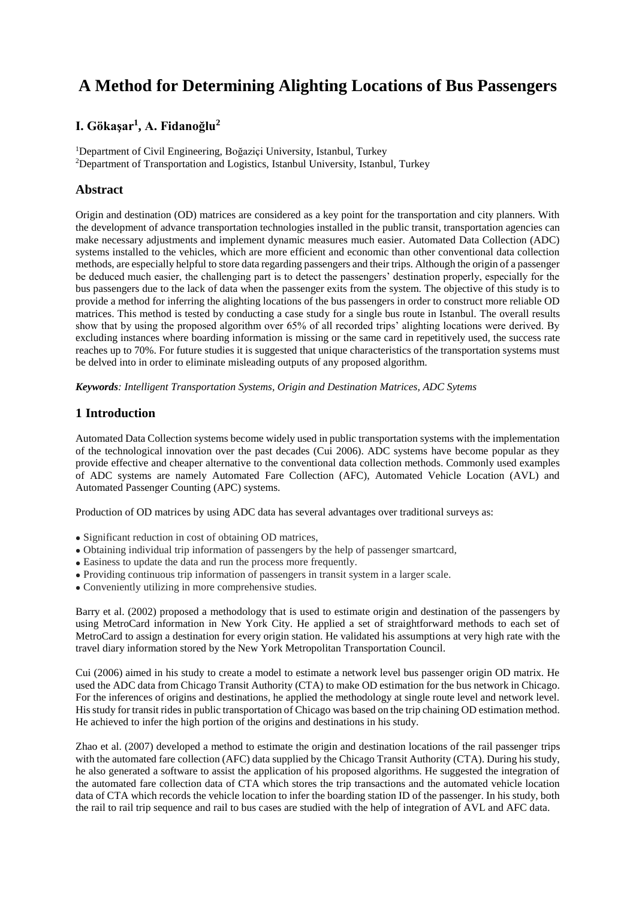# **A Method for Determining Alighting Locations of Bus Passengers**

# **I. Gökaşar<sup>1</sup> , A. Fidanoğlu<sup>2</sup>**

<sup>1</sup>Department of Civil Engineering, Boğaziçi University, Istanbul, Turkey <sup>2</sup>Department of Transportation and Logistics, Istanbul University, Istanbul, Turkey

## **Abstract**

Origin and destination (OD) matrices are considered as a key point for the transportation and city planners. With the development of advance transportation technologies installed in the public transit, transportation agencies can make necessary adjustments and implement dynamic measures much easier. Automated Data Collection (ADC) systems installed to the vehicles, which are more efficient and economic than other conventional data collection methods, are especially helpful to store data regarding passengers and their trips. Although the origin of a passenger be deduced much easier, the challenging part is to detect the passengers' destination properly, especially for the bus passengers due to the lack of data when the passenger exits from the system. The objective of this study is to provide a method for inferring the alighting locations of the bus passengers in order to construct more reliable OD matrices. This method is tested by conducting a case study for a single bus route in Istanbul. The overall results show that by using the proposed algorithm over 65% of all recorded trips' alighting locations were derived. By excluding instances where boarding information is missing or the same card in repetitively used, the success rate reaches up to 70%. For future studies it is suggested that unique characteristics of the transportation systems must be delved into in order to eliminate misleading outputs of any proposed algorithm.

*Keywords: Intelligent Transportation Systems, Origin and Destination Matrices, ADC Sytems*

## **1 Introduction**

Automated Data Collection systems become widely used in public transportation systems with the implementation of the technological innovation over the past decades (Cui 2006). ADC systems have become popular as they provide effective and cheaper alternative to the conventional data collection methods. Commonly used examples of ADC systems are namely Automated Fare Collection (AFC), Automated Vehicle Location (AVL) and Automated Passenger Counting (APC) systems.

Production of OD matrices by using ADC data has several advantages over traditional surveys as:

- Significant reduction in cost of obtaining OD matrices,
- Obtaining individual trip information of passengers by the help of passenger smartcard,
- Easiness to update the data and run the process more frequently.
- Providing continuous trip information of passengers in transit system in a larger scale.
- Conveniently utilizing in more comprehensive studies.

Barry et al. (2002) proposed a methodology that is used to estimate origin and destination of the passengers by using MetroCard information in New York City. He applied a set of straightforward methods to each set of MetroCard to assign a destination for every origin station. He validated his assumptions at very high rate with the travel diary information stored by the New York Metropolitan Transportation Council.

Cui (2006) aimed in his study to create a model to estimate a network level bus passenger origin OD matrix. He used the ADC data from Chicago Transit Authority (CTA) to make OD estimation for the bus network in Chicago. For the inferences of origins and destinations, he applied the methodology at single route level and network level. His study for transit rides in public transportation of Chicago was based on the trip chaining OD estimation method. He achieved to infer the high portion of the origins and destinations in his study.

Zhao et al. (2007) developed a method to estimate the origin and destination locations of the rail passenger trips with the automated fare collection (AFC) data supplied by the Chicago Transit Authority (CTA). During his study, he also generated a software to assist the application of his proposed algorithms. He suggested the integration of the automated fare collection data of CTA which stores the trip transactions and the automated vehicle location data of CTA which records the vehicle location to infer the boarding station ID of the passenger. In his study, both the rail to rail trip sequence and rail to bus cases are studied with the help of integration of AVL and AFC data.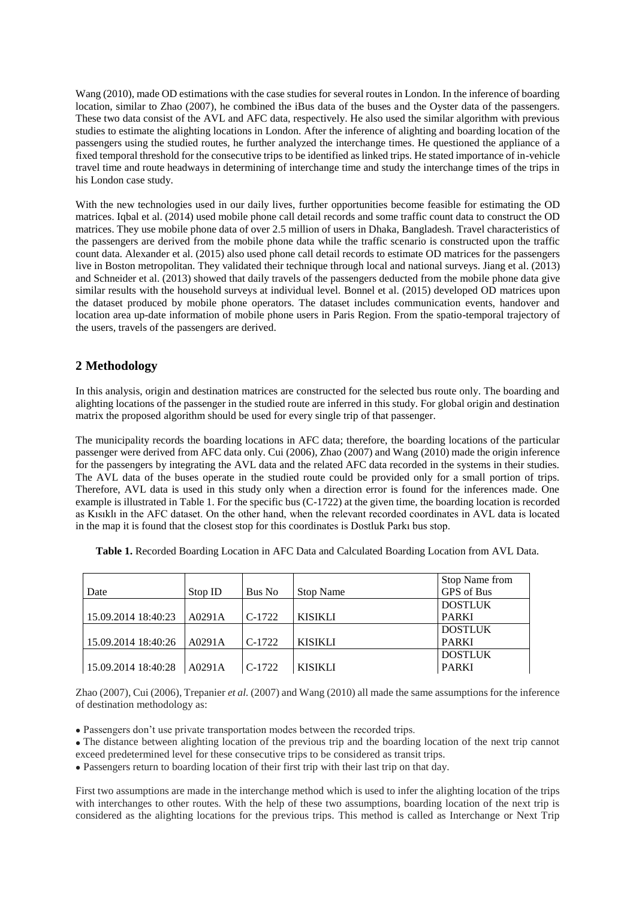Wang (2010), made OD estimations with the case studies for several routes in London. In the inference of boarding location, similar to Zhao (2007), he combined the iBus data of the buses and the Oyster data of the passengers. These two data consist of the AVL and AFC data, respectively. He also used the similar algorithm with previous studies to estimate the alighting locations in London. After the inference of alighting and boarding location of the passengers using the studied routes, he further analyzed the interchange times. He questioned the appliance of a fixed temporal threshold for the consecutive trips to be identified as linked trips. He stated importance of in-vehicle travel time and route headways in determining of interchange time and study the interchange times of the trips in his London case study.

With the new technologies used in our daily lives, further opportunities become feasible for estimating the OD matrices. Iqbal et al. (2014) used mobile phone call detail records and some traffic count data to construct the OD matrices. They use mobile phone data of over 2.5 million of users in Dhaka, Bangladesh. Travel characteristics of the passengers are derived from the mobile phone data while the traffic scenario is constructed upon the traffic count data. Alexander et al. (2015) also used phone call detail records to estimate OD matrices for the passengers live in Boston metropolitan. They validated their technique through local and national surveys. Jiang et al. (2013) and Schneider et al. (2013) showed that daily travels of the passengers deducted from the mobile phone data give similar results with the household surveys at individual level. Bonnel et al. (2015) developed OD matrices upon the dataset produced by mobile phone operators. The dataset includes communication events, handover and location area up-date information of mobile phone users in Paris Region. From the spatio-temporal trajectory of the users, travels of the passengers are derived.

## **2 Methodology**

In this analysis, origin and destination matrices are constructed for the selected bus route only. The boarding and alighting locations of the passenger in the studied route are inferred in this study. For global origin and destination matrix the proposed algorithm should be used for every single trip of that passenger.

The municipality records the boarding locations in AFC data; therefore, the boarding locations of the particular passenger were derived from AFC data only. Cui (2006), Zhao (2007) and Wang (2010) made the origin inference for the passengers by integrating the AVL data and the related AFC data recorded in the systems in their studies. The AVL data of the buses operate in the studied route could be provided only for a small portion of trips. Therefore, AVL data is used in this study only when a direction error is found for the inferences made. One example is illustrated in [Table 1.](#page-1-0) For the specific bus (C-1722) at the given time, the boarding location is recorded as Kısıklı in the AFC dataset. On the other hand, when the relevant recorded coordinates in AVL data is located in the map it is found that the closest stop for this coordinates is Dostluk Parkı bus stop.

|                     |         |          |                  | Stop Name from |
|---------------------|---------|----------|------------------|----------------|
| Date                | Stop ID | Bus No   | <b>Stop Name</b> | GPS of Bus     |
|                     |         |          |                  | <b>DOSTLUK</b> |
| 15.09.2014 18:40:23 | A0291A  | $C-1722$ | <b>KISIKLI</b>   | <b>PARKI</b>   |
|                     |         |          |                  | <b>DOSTLUK</b> |
| 15.09.2014 18:40:26 | A0291A  | $C-1722$ | <b>KISIKLI</b>   | <b>PARKI</b>   |
|                     |         |          |                  | <b>DOSTLUK</b> |
| 15.09.2014 18:40:28 | A0291A  | $C-1722$ | <b>KISIKLI</b>   | <b>PARKI</b>   |

<span id="page-1-0"></span>**Table 1.** Recorded Boarding Location in AFC Data and Calculated Boarding Location from AVL Data.

Zhao (2007), Cui (2006), Trepanier *et al.* (2007) and Wang (2010) all made the same assumptions for the inference of destination methodology as:

Passengers don't use private transportation modes between the recorded trips.

 The distance between alighting location of the previous trip and the boarding location of the next trip cannot exceed predetermined level for these consecutive trips to be considered as transit trips.

Passengers return to boarding location of their first trip with their last trip on that day.

First two assumptions are made in the interchange method which is used to infer the alighting location of the trips with interchanges to other routes. With the help of these two assumptions, boarding location of the next trip is considered as the alighting locations for the previous trips. This method is called as Interchange or Next Trip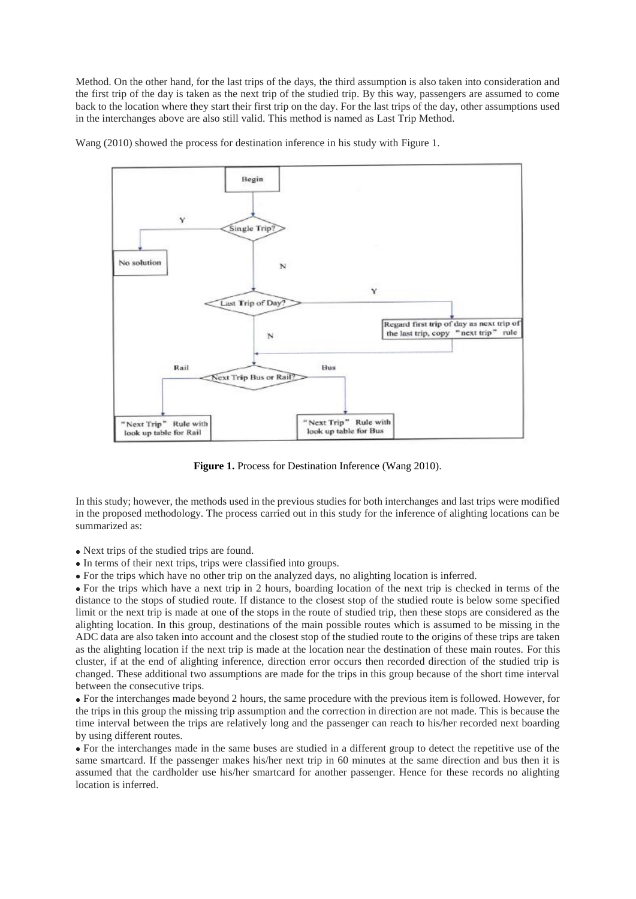Method. On the other hand, for the last trips of the days, the third assumption is also taken into consideration and the first trip of the day is taken as the next trip of the studied trip. By this way, passengers are assumed to come back to the location where they start their first trip on the day. For the last trips of the day, other assumptions used in the interchanges above are also still valid. This method is named as Last Trip Method.

Wang (2010) showed the process for destination inference in his study with [Figure 1](#page-2-0).



**Figure 1.** Process for Destination Inference (Wang 2010).

<span id="page-2-0"></span>In this study; however, the methods used in the previous studies for both interchanges and last trips were modified in the proposed methodology. The process carried out in this study for the inference of alighting locations can be summarized as:

- Next trips of the studied trips are found.
- In terms of their next trips, trips were classified into groups.

For the trips which have no other trip on the analyzed days, no alighting location is inferred.

 For the trips which have a next trip in 2 hours, boarding location of the next trip is checked in terms of the distance to the stops of studied route. If distance to the closest stop of the studied route is below some specified limit or the next trip is made at one of the stops in the route of studied trip, then these stops are considered as the alighting location. In this group, destinations of the main possible routes which is assumed to be missing in the ADC data are also taken into account and the closest stop of the studied route to the origins of these trips are taken as the alighting location if the next trip is made at the location near the destination of these main routes. For this cluster, if at the end of alighting inference, direction error occurs then recorded direction of the studied trip is changed. These additional two assumptions are made for the trips in this group because of the short time interval between the consecutive trips.

 For the interchanges made beyond 2 hours, the same procedure with the previous item is followed. However, for the trips in this group the missing trip assumption and the correction in direction are not made. This is because the time interval between the trips are relatively long and the passenger can reach to his/her recorded next boarding by using different routes.

 For the interchanges made in the same buses are studied in a different group to detect the repetitive use of the same smartcard. If the passenger makes his/her next trip in 60 minutes at the same direction and bus then it is assumed that the cardholder use his/her smartcard for another passenger. Hence for these records no alighting location is inferred.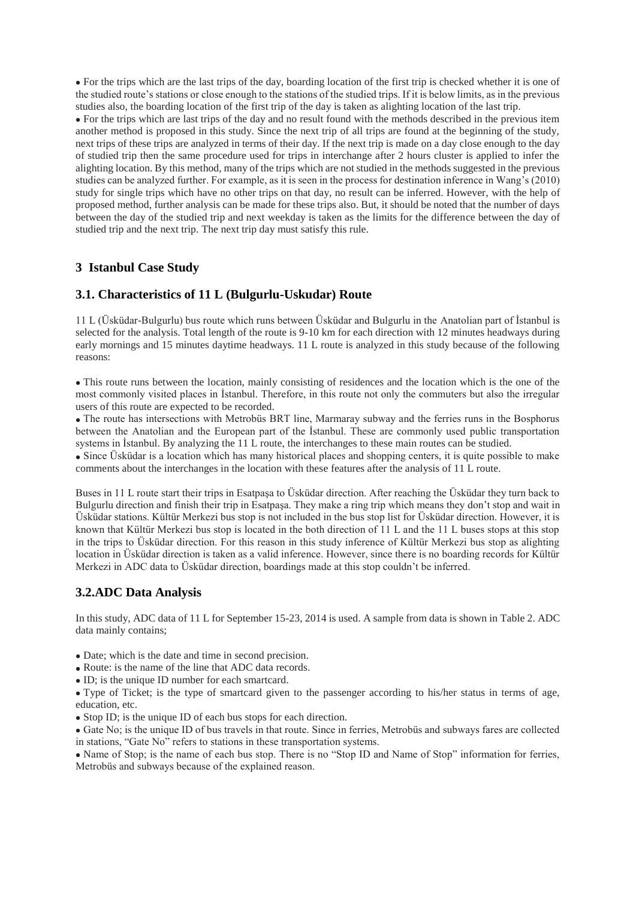For the trips which are the last trips of the day, boarding location of the first trip is checked whether it is one of the studied route's stations or close enough to the stations of the studied trips. If it is below limits, as in the previous studies also, the boarding location of the first trip of the day is taken as alighting location of the last trip.

 For the trips which are last trips of the day and no result found with the methods described in the previous item another method is proposed in this study. Since the next trip of all trips are found at the beginning of the study, next trips of these trips are analyzed in terms of their day. If the next trip is made on a day close enough to the day of studied trip then the same procedure used for trips in interchange after 2 hours cluster is applied to infer the alighting location. By this method, many of the trips which are not studied in the methods suggested in the previous studies can be analyzed further. For example, as it is seen in the process for destination inference in Wang's (2010) study for single trips which have no other trips on that day, no result can be inferred. However, with the help of proposed method, further analysis can be made for these trips also. But, it should be noted that the number of days between the day of the studied trip and next weekday is taken as the limits for the difference between the day of studied trip and the next trip. The next trip day must satisfy this rule.

## **3 Istanbul Case Study**

## **3.1. Characteristics of 11 L (Bulgurlu-Uskudar) Route**

11 L (Üsküdar-Bulgurlu) bus route which runs between Üsküdar and Bulgurlu in the Anatolian part of İstanbul is selected for the analysis. Total length of the route is 9-10 km for each direction with 12 minutes headways during early mornings and 15 minutes daytime headways. 11 L route is analyzed in this study because of the following reasons:

 This route runs between the location, mainly consisting of residences and the location which is the one of the most commonly visited places in İstanbul. Therefore, in this route not only the commuters but also the irregular users of this route are expected to be recorded.

 The route has intersections with Metrobüs BRT line, Marmaray subway and the ferries runs in the Bosphorus between the Anatolian and the European part of the İstanbul. These are commonly used public transportation systems in İstanbul. By analyzing the 11 L route, the interchanges to these main routes can be studied.

 Since Üsküdar is a location which has many historical places and shopping centers, it is quite possible to make comments about the interchanges in the location with these features after the analysis of 11 L route.

Buses in 11 L route start their trips in Esatpaşa to Üsküdar direction. After reaching the Üsküdar they turn back to Bulgurlu direction and finish their trip in Esatpaşa. They make a ring trip which means they don't stop and wait in Üsküdar stations. Kültür Merkezi bus stop is not included in the bus stop list for Üsküdar direction. However, it is known that Kültür Merkezi bus stop is located in the both direction of 11 L and the 11 L buses stops at this stop in the trips to Üsküdar direction. For this reason in this study inference of Kültür Merkezi bus stop as alighting location in Üsküdar direction is taken as a valid inference. However, since there is no boarding records for Kültür Merkezi in ADC data to Üsküdar direction, boardings made at this stop couldn't be inferred.

## **3.2.ADC Data Analysis**

In this study, ADC data of 11 L for September 15-23, 2014 is used. A sample from data is shown in Table 2. ADC data mainly contains;

- Date; which is the date and time in second precision.
- Route: is the name of the line that ADC data records.
- ID; is the unique ID number for each smartcard.

 Type of Ticket; is the type of smartcard given to the passenger according to his/her status in terms of age, education, etc.

• Stop ID; is the unique ID of each bus stops for each direction.

 Gate No; is the unique ID of bus travels in that route. Since in ferries, Metrobüs and subways fares are collected in stations, "Gate No" refers to stations in these transportation systems.

• Name of Stop; is the name of each bus stop. There is no "Stop ID and Name of Stop" information for ferries, Metrobüs and subways because of the explained reason.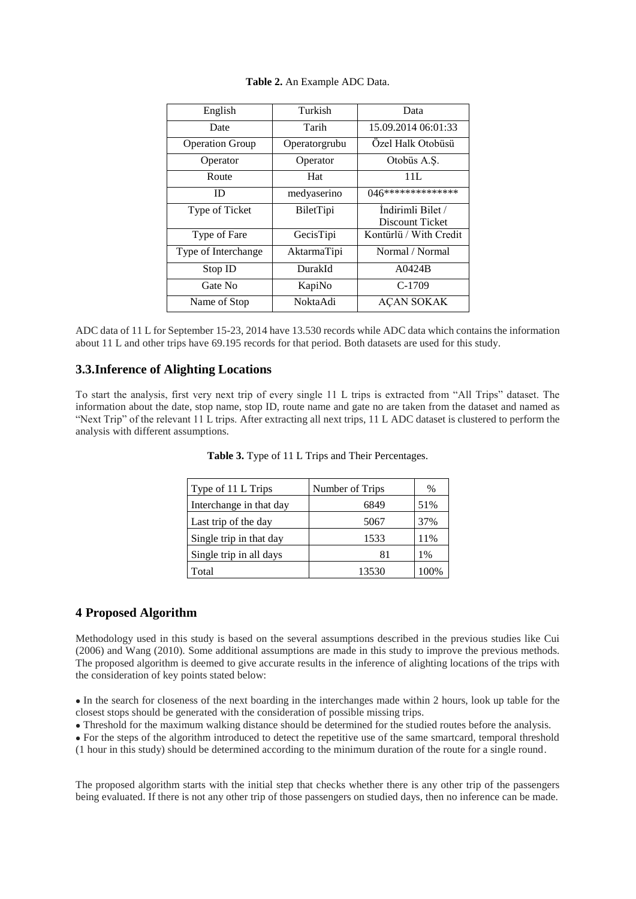| English                | Turkish       | Data                                 |  |
|------------------------|---------------|--------------------------------------|--|
| Date                   | Tarih         | 15.09.2014 06:01:33                  |  |
| <b>Operation Group</b> | Operatorgrubu | Özel Halk Otobüsü                    |  |
| Operator               | Operator      | Otobüs A.Ş.                          |  |
| Route                  | Hat           | 11L                                  |  |
| ID                     | medyaserino   | 046***************                   |  |
| Type of Ticket         | BiletTipi     | Indirimli Bilet /<br>Discount Ticket |  |
|                        |               |                                      |  |
| Type of Fare           | GecisTipi     | Kontürlü / With Credit               |  |
| Type of Interchange    | AktarmaTipi   | Normal / Normal                      |  |
| Stop ID                | DurakId       | A0424B                               |  |
| Gate No                | KapiNo        | $C-1709$                             |  |
| Name of Stop           | NoktaAdi      | AÇAN SOKAK                           |  |

ADC data of 11 L for September 15-23, 2014 have 13.530 records while ADC data which contains the information about 11 L and other trips have 69.195 records for that period. Both datasets are used for this study.

## **3.3.Inference of Alighting Locations**

To start the analysis, first very next trip of every single 11 L trips is extracted from "All Trips" dataset. The information about the date, stop name, stop ID, route name and gate no are taken from the dataset and named as "Next Trip" of the relevant 11 L trips. After extracting all next trips, 11 L ADC dataset is clustered to perform the analysis with different assumptions.

| Type of 11 L Trips      | Number of Trips | $\%$ |
|-------------------------|-----------------|------|
| Interchange in that day | 6849            | 51%  |
| Last trip of the day    | 5067            | 37%  |
| Single trip in that day | 1533            | 11%  |
| Single trip in all days | 81              | 1%   |
| Total                   | 13530           | 00%  |

**Table 3.** Type of 11 L Trips and Their Percentages.

#### **4 Proposed Algorithm**

Methodology used in this study is based on the several assumptions described in the previous studies like Cui (2006) and Wang (2010). Some additional assumptions are made in this study to improve the previous methods. The proposed algorithm is deemed to give accurate results in the inference of alighting locations of the trips with the consideration of key points stated below:

 In the search for closeness of the next boarding in the interchanges made within 2 hours, look up table for the closest stops should be generated with the consideration of possible missing trips.

Threshold for the maximum walking distance should be determined for the studied routes before the analysis.

• For the steps of the algorithm introduced to detect the repetitive use of the same smartcard, temporal threshold (1 hour in this study) should be determined according to the minimum duration of the route for a single round.

The proposed algorithm starts with the initial step that checks whether there is any other trip of the passengers being evaluated. If there is not any other trip of those passengers on studied days, then no inference can be made.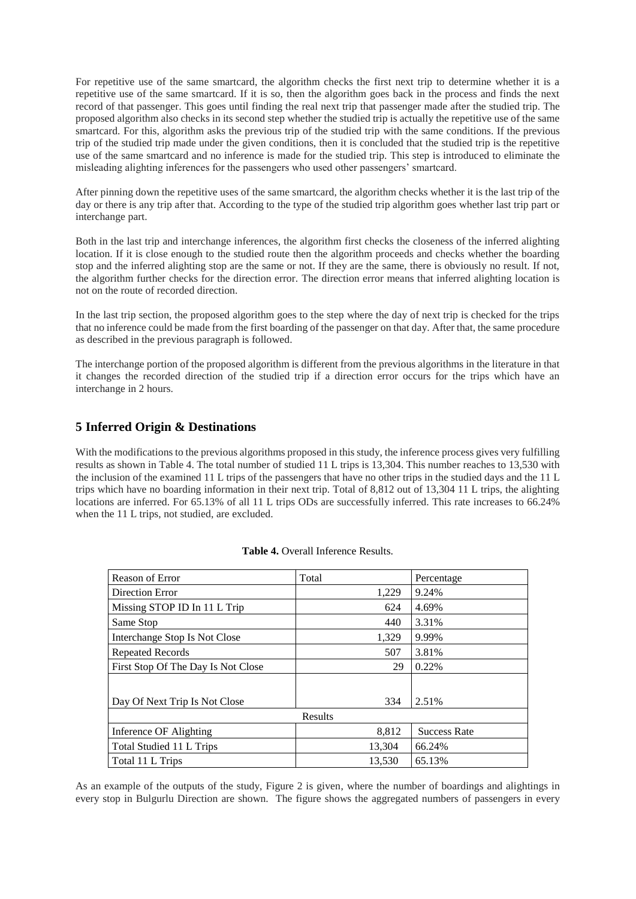For repetitive use of the same smartcard, the algorithm checks the first next trip to determine whether it is a repetitive use of the same smartcard. If it is so, then the algorithm goes back in the process and finds the next record of that passenger. This goes until finding the real next trip that passenger made after the studied trip. The proposed algorithm also checks in its second step whether the studied trip is actually the repetitive use of the same smartcard. For this, algorithm asks the previous trip of the studied trip with the same conditions. If the previous trip of the studied trip made under the given conditions, then it is concluded that the studied trip is the repetitive use of the same smartcard and no inference is made for the studied trip. This step is introduced to eliminate the misleading alighting inferences for the passengers who used other passengers' smartcard.

After pinning down the repetitive uses of the same smartcard, the algorithm checks whether it is the last trip of the day or there is any trip after that. According to the type of the studied trip algorithm goes whether last trip part or interchange part.

Both in the last trip and interchange inferences, the algorithm first checks the closeness of the inferred alighting location. If it is close enough to the studied route then the algorithm proceeds and checks whether the boarding stop and the inferred alighting stop are the same or not. If they are the same, there is obviously no result. If not, the algorithm further checks for the direction error. The direction error means that inferred alighting location is not on the route of recorded direction.

In the last trip section, the proposed algorithm goes to the step where the day of next trip is checked for the trips that no inference could be made from the first boarding of the passenger on that day. After that, the same procedure as described in the previous paragraph is followed.

The interchange portion of the proposed algorithm is different from the previous algorithms in the literature in that it changes the recorded direction of the studied trip if a direction error occurs for the trips which have an interchange in 2 hours.

## **5 Inferred Origin & Destinations**

With the modifications to the previous algorithms proposed in this study, the inference process gives very fulfilling results as shown in Table 4. The total number of studied 11 L trips is 13,304. This number reaches to 13,530 with the inclusion of the examined 11 L trips of the passengers that have no other trips in the studied days and the 11 L trips which have no boarding information in their next trip. Total of 8,812 out of 13,304 11 L trips, the alighting locations are inferred. For 65.13% of all 11 L trips ODs are successfully inferred. This rate increases to 66.24% when the 11 L trips, not studied, are excluded.

| Reason of Error                    | Total   | Percentage          |
|------------------------------------|---------|---------------------|
| Direction Error                    | 1,229   | 9.24%               |
| Missing STOP ID In 11 L Trip       | 624     | 4.69%               |
| Same Stop                          | 440     | 3.31%               |
| Interchange Stop Is Not Close      | 1,329   | 9.99%               |
| <b>Repeated Records</b>            | 507     | 3.81%               |
| First Stop Of The Day Is Not Close | 29      | 0.22%               |
|                                    |         |                     |
| Day Of Next Trip Is Not Close      | 334     | 2.51%               |
|                                    | Results |                     |
| Inference OF Alighting             | 8,812   | <b>Success Rate</b> |
| Total Studied 11 L Trips           | 13,304  | 66.24%              |
| Total 11 L Trips                   | 13,530  | 65.13%              |

#### **Table 4.** Overall Inference Results.

As an example of the outputs of the study, Figure 2 is given, where the number of boardings and alightings in every stop in Bulgurlu Direction are shown. The figure shows the aggregated numbers of passengers in every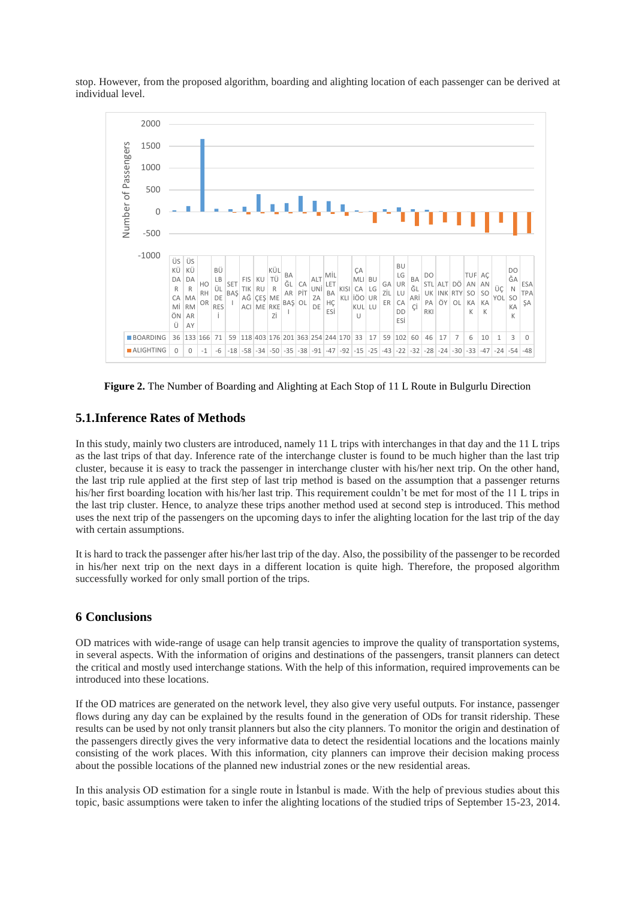stop. However, from the proposed algorithm, boarding and alighting location of each passenger can be derived at individual level.



**Figure 2.** The Number of Boarding and Alighting at Each Stop of 11 L Route in Bulgurlu Direction

## **5.1.Inference Rates of Methods**

In this study, mainly two clusters are introduced, namely 11 L trips with interchanges in that day and the 11 L trips as the last trips of that day. Inference rate of the interchange cluster is found to be much higher than the last trip cluster, because it is easy to track the passenger in interchange cluster with his/her next trip. On the other hand, the last trip rule applied at the first step of last trip method is based on the assumption that a passenger returns his/her first boarding location with his/her last trip. This requirement couldn't be met for most of the 11 L trips in the last trip cluster. Hence, to analyze these trips another method used at second step is introduced. This method uses the next trip of the passengers on the upcoming days to infer the alighting location for the last trip of the day with certain assumptions.

It is hard to track the passenger after his/her last trip of the day. Also, the possibility of the passenger to be recorded in his/her next trip on the next days in a different location is quite high. Therefore, the proposed algorithm successfully worked for only small portion of the trips.

## **6 Conclusions**

OD matrices with wide-range of usage can help transit agencies to improve the quality of transportation systems, in several aspects. With the information of origins and destinations of the passengers, transit planners can detect the critical and mostly used interchange stations. With the help of this information, required improvements can be introduced into these locations.

If the OD matrices are generated on the network level, they also give very useful outputs. For instance, passenger flows during any day can be explained by the results found in the generation of ODs for transit ridership. These results can be used by not only transit planners but also the city planners. To monitor the origin and destination of the passengers directly gives the very informative data to detect the residential locations and the locations mainly consisting of the work places. With this information, city planners can improve their decision making process about the possible locations of the planned new industrial zones or the new residential areas.

In this analysis OD estimation for a single route in İstanbul is made. With the help of previous studies about this topic, basic assumptions were taken to infer the alighting locations of the studied trips of September 15-23, 2014.